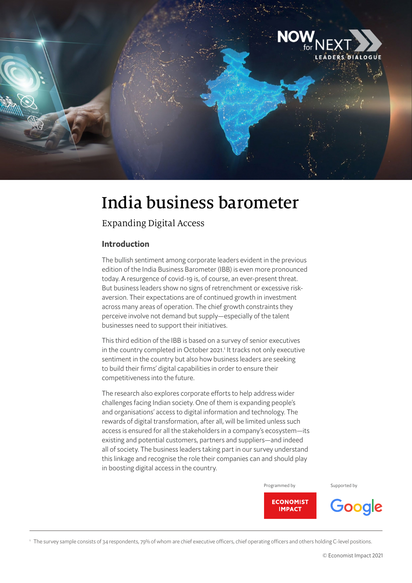

# India business barometer

## Expanding Digital Access

#### Introduction

The bullish sentiment among corporate leaders evident in the previous edition of the India Business Barometer (IBB) is even more pronounced today. A resurgence of covid-19 is, of course, an ever-present threat. But business leaders show no signs of retrenchment or excessive riskaversion. Their expectations are of continued growth in investment across many areas of operation. The chief growth constraints they perceive involve not demand but supply—especially of the talent businesses need to support their initiatives.

This third edition of the IBB is based on a survey of senior executives in the country completed in October 2021.<sup>1</sup> It tracks not only executive sentiment in the country but also how business leaders are seeking to build their firms' digital capabilities in order to ensure their competitiveness into the future.

The research also explores corporate efforts to help address wider challenges facing Indian society. One of them is expanding people's and organisations' access to digital information and technology. The rewards of digital transformation, after all, will be limited unless such access is ensured for all the stakeholders in a company's ecosystem—its existing and potential customers, partners and suppliers—and indeed all of society. The business leaders taking part in our survey understand this linkage and recognise the role their companies can and should play in boosting digital access in the country.

#### Programmed by Supported by



1 The survey sample consists of 34 respondents, 79% of whom are chief executive officers, chief operating officers and others holding C-level positions.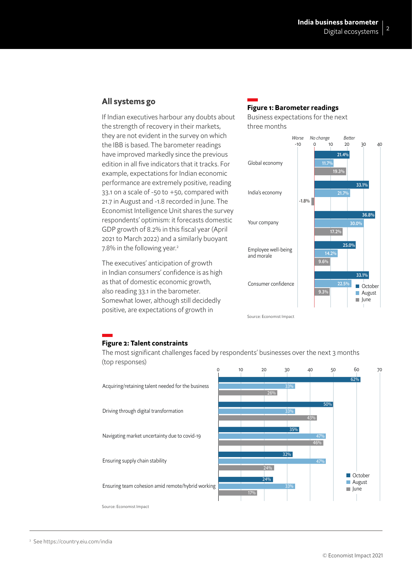#### All systems go

If Indian executives harbour any doubts about the strength of recovery in their markets, they are not evident in the survey on which the IBB is based. The barometer readings have improved markedly since the previous edition in all five indicators that it tracks. For example, expectations for Indian economic performance are extremely positive, reading 33.1 on a scale of -50 to +50, compared with 21.7 in August and -1.8 recorded in June. The Economist Intelligence Unit shares the survey respondents' optimism: it forecasts domestic GDP growth of 8.2% in this fiscal year (April 2021 to March 2022) and a similarly buoyant 7.8% in the following year.<sup>2</sup>

The executives' anticipation of growth in Indian consumers' confidence is as high as that of domestic economic growth, also reading 33.1 in the barometer. Somewhat lower, although still decidedly positive, are expectations of growth in

## Figure 1: Barometer readings

Business expectations for the next three months



#### Figure 2: Talent constraints

The most significant challenges faced by respondents' businesses over the next 3 months (top responses)



<sup>2</sup> See https://country.eiu.com/india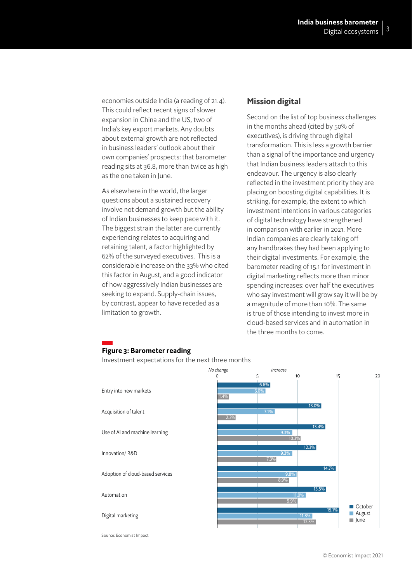economies outside India (a reading of 21.4). This could reflect recent signs of slower expansion in China and the US, two of India's key export markets. Any doubts about external growth are not reflected in business leaders' outlook about their own companies' prospects: that barometer reading sits at 36.8, more than twice as high as the one taken in June.

As elsewhere in the world, the larger questions about a sustained recovery involve not demand growth but the ability of Indian businesses to keep pace with it. The biggest strain the latter are currently experiencing relates to acquiring and retaining talent, a factor highlighted by 62% of the surveyed executives. This is a considerable increase on the 33% who cited this factor in August, and a good indicator of how aggressively Indian businesses are seeking to expand. Supply-chain issues, by contrast, appear to have receded as a limitation to growth.

#### Mission digital

Second on the list of top business challenges in the months ahead (cited by 50% of executives), is driving through digital transformation. This is less a growth barrier than a signal of the importance and urgency that Indian business leaders attach to this endeavour. The urgency is also clearly reflected in the investment priority they are placing on boosting digital capabilities. It is striking, for example, the extent to which investment intentions in various categories of digital technology have strengthened in comparison with earlier in 2021. More Indian companies are clearly taking off any handbrakes they had been applying to their digital investments. For example, the barometer reading of 15.1 for investment in digital marketing reflects more than minor spending increases: over half the executives who say investment will grow say it will be by a magnitude of more than 10%. The same is true of those intending to invest more in cloud-based services and in automation in the three months to come.

## Figure 3: Barometer reading

Investment expectations for the next three months



Source: Economist Impact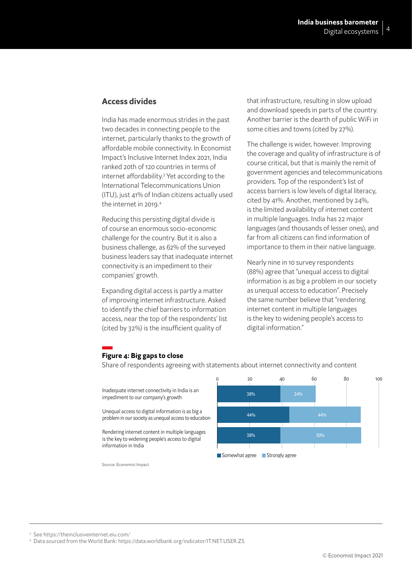#### Access divides

India has made enormous strides in the past two decades in connecting people to the internet, particularly thanks to the growth of affordable mobile connectivity. In Economist Impact's Inclusive Internet Index 2021, India ranked 20th of 120 countries in terms of internet affordability.3 Yet according to the International Telecommunications Union (ITU), just 41% of Indian citizens actually used the internet in 2019.<sup>4</sup>

Reducing this persisting digital divide is of course an enormous socio-economic challenge for the country. But it is also a business challenge, as 62% of the surveyed business leaders say that inadequate internet connectivity is an impediment to their companies' growth.

Expanding digital access is partly a matter of improving internet infrastructure. Asked to identify the chief barriers to information access, near the top of the respondents' list (cited by 32%) is the insufficient quality of

that infrastructure, resulting in slow upload and download speeds in parts of the country. Another barrier is the dearth of public WiFi in some cities and towns (cited by 27%).

The challenge is wider, however. Improving the coverage and quality of infrastructure is of course critical, but that is mainly the remit of government agencies and telecommunications providers. Top of the respondent's list of access barriers is low levels of digital literacy, cited by 41%. Another, mentioned by 24%, is the limited availability of internet content in multiple languages. India has 22 major languages (and thousands of lesser ones), and far from all citizens can find information of importance to them in their native language.

Nearly nine in 10 survey respondents (88%) agree that "unequal access to digital information is as big a problem in our society as unequal access to education". Precisely the same number believe that "rendering internet content in multiple languages is the key to widening people's access to digital information."

#### Figure 4: Big gaps to close

Share of respondents agreeing with statements about internet connectivity and content

Inadequate internet connectivity in India is an impediment to our company's growth

Unequal access to digital information is as big a problem in our society as unequal access to education

Rendering internet content in multiple languages is the key to widening people's access to digital information in India

Source: Economist Impact



3 See https://theinclusiveinternet.eiu.com/

<sup>4</sup> Data sourced from the World Bank: https://data.worldbank.org/indicator/IT.NET.USER.ZS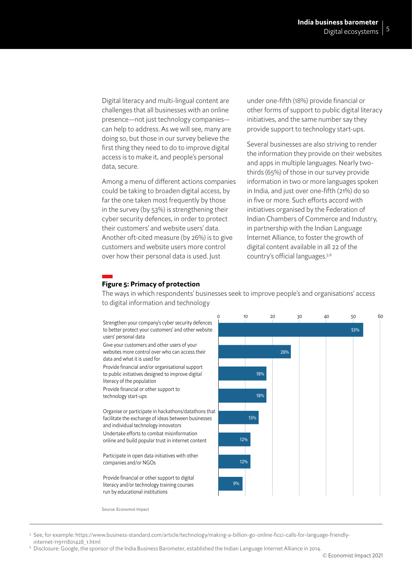Digital literacy and multi-lingual content are challenges that all businesses with an online presence—not just technology companies can help to address. As we will see, many are doing so, but those in our survey believe the first thing they need to do to improve digital access is to make it, and people's personal data, secure.

Among a menu of different actions companies could be taking to broaden digital access, by far the one taken most frequently by those in the survey (by 53%) is strengthening their cyber security defences, in order to protect their customers' and website users' data. Another oft-cited measure (by 26%) is to give customers and website users more control over how their personal data is used. Just

under one-fifth (18%) provide financial or other forms of support to public digital literacy initiatives, and the same number say they provide support to technology start-ups.

Several businesses are also striving to render the information they provide on their websites and apps in multiple languages. Nearly twothirds (65%) of those in our survey provide information in two or more languages spoken in India, and just over one-fifth (21%) do so in five or more. Such efforts accord with initiatives organised by the Federation of Indian Chambers of Commerce and Industry, in partnership with the Indian Language Internet Alliance, to foster the growth of digital content available in all 22 of the country's official languages.5,6

### Figure 5: Primacy of protection

The ways in which respondents' businesses seek to improve people's and organisations' access to digital information and technology



Source: Economist Impact

5 See, for example: https://www.business-standard.com/article/technology/making-a-billion-go-online-ficci-calls-for-language-friendlyinternet-119111801428\_1.html

<sup>6</sup> Disclosure: Google, the sponsor of the India Business Barometer, established the Indian Language Internet Alliance in 2014.